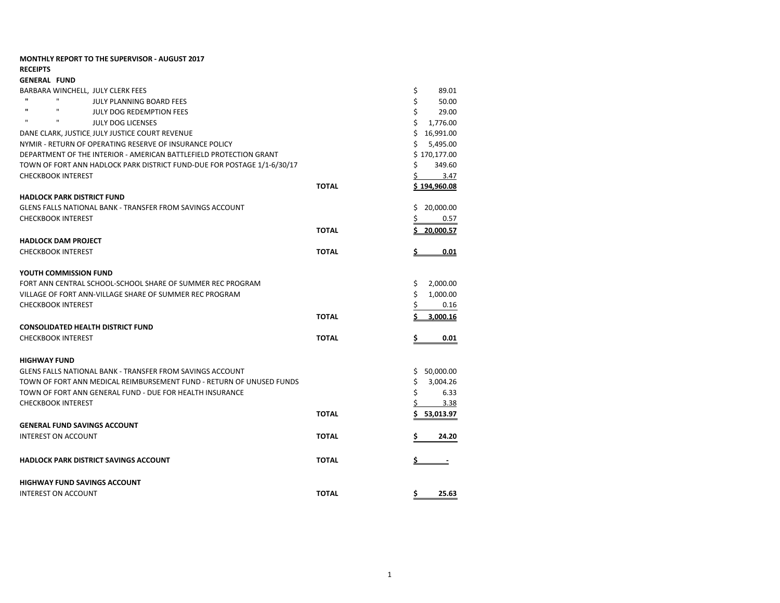|                                                                    | <b>MONTHLY REPORT TO THE SUPERVISOR - AUGUST 2017</b>                   |              |                |
|--------------------------------------------------------------------|-------------------------------------------------------------------------|--------------|----------------|
| <b>RECEIPTS</b>                                                    |                                                                         |              |                |
| <b>GENERAL FUND</b>                                                |                                                                         |              |                |
|                                                                    | BARBARA WINCHELL, JULY CLERK FEES                                       |              | \$<br>89.01    |
| $\mathbf{u}$                                                       | $\mathbf{H}$<br><b>JULY PLANNING BOARD FEES</b>                         |              | \$<br>50.00    |
| $\mathbf{u}$                                                       | $\mathbf{u}$<br>JULY DOG REDEMPTION FEES                                |              | \$<br>29.00    |
| $\mathbf{u}$                                                       | п<br><b>JULY DOG LICENSES</b>                                           |              | \$<br>1,776.00 |
|                                                                    | DANE CLARK, JUSTICE JULY JUSTICE COURT REVENUE                          |              | \$16,991.00    |
| NYMIR - RETURN OF OPERATING RESERVE OF INSURANCE POLICY            | \$<br>5,495.00                                                          |              |                |
| DEPARTMENT OF THE INTERIOR - AMERICAN BATTLEFIELD PROTECTION GRANT | \$170,177.00                                                            |              |                |
|                                                                    | TOWN OF FORT ANN HADLOCK PARK DISTRICT FUND-DUE FOR POSTAGE 1/1-6/30/17 |              | \$<br>349.60   |
|                                                                    | <b>CHECKBOOK INTEREST</b>                                               |              | 3.47<br>S      |
|                                                                    |                                                                         | <b>TOTAL</b> | \$194,960.08   |
|                                                                    | <b>HADLOCK PARK DISTRICT FUND</b>                                       |              |                |
|                                                                    | GLENS FALLS NATIONAL BANK - TRANSFER FROM SAVINGS ACCOUNT               |              | Ś<br>20,000.00 |
|                                                                    | <b>CHECKBOOK INTEREST</b>                                               |              | Ś<br>0.57      |
|                                                                    |                                                                         | <b>TOTAL</b> | 20,000.57      |
|                                                                    | <b>HADLOCK DAM PROJECT</b>                                              |              |                |
|                                                                    | <b>CHECKBOOK INTEREST</b>                                               | <b>TOTAL</b> | 0.01           |
|                                                                    | YOUTH COMMISSION FUND                                                   |              |                |
|                                                                    | FORT ANN CENTRAL SCHOOL-SCHOOL SHARE OF SUMMER REC PROGRAM              |              | \$<br>2,000.00 |
|                                                                    | VILLAGE OF FORT ANN-VILLAGE SHARE OF SUMMER REC PROGRAM                 |              | \$<br>1,000.00 |
|                                                                    | <b>CHECKBOOK INTEREST</b>                                               |              | \$<br>0.16     |
|                                                                    |                                                                         | <b>TOTAL</b> | Ś<br>3,000.16  |
|                                                                    | <b>CONSOLIDATED HEALTH DISTRICT FUND</b>                                |              |                |
|                                                                    | <b>CHECKBOOK INTEREST</b>                                               | <b>TOTAL</b> | \$<br>0.01     |
| <b>HIGHWAY FUND</b>                                                |                                                                         |              |                |
|                                                                    | <b>GLENS FALLS NATIONAL BANK - TRANSFER FROM SAVINGS ACCOUNT</b>        |              | 50,000.00<br>Ş |
|                                                                    | TOWN OF FORT ANN MEDICAL REIMBURSEMENT FUND - RETURN OF UNUSED FUNDS    |              | 3,004.26<br>\$ |
|                                                                    | TOWN OF FORT ANN GENERAL FUND - DUE FOR HEALTH INSURANCE                |              | \$<br>6.33     |
|                                                                    | <b>CHECKBOOK INTEREST</b>                                               |              | \$<br>3.38     |
|                                                                    |                                                                         | <b>TOTAL</b> | Ś<br>53,013.97 |
|                                                                    | <b>GENERAL FUND SAVINGS ACCOUNT</b>                                     |              |                |
|                                                                    | <b>INTEREST ON ACCOUNT</b>                                              | <b>TOTAL</b> | \$<br>24.20    |
|                                                                    | <b>HADLOCK PARK DISTRICT SAVINGS ACCOUNT</b>                            | <b>TOTAL</b> | S              |
|                                                                    | <b>HIGHWAY FUND SAVINGS ACCOUNT</b>                                     |              |                |
|                                                                    | <b>INTEREST ON ACCOUNT</b>                                              | <b>TOTAL</b> | 25.63<br>Ş     |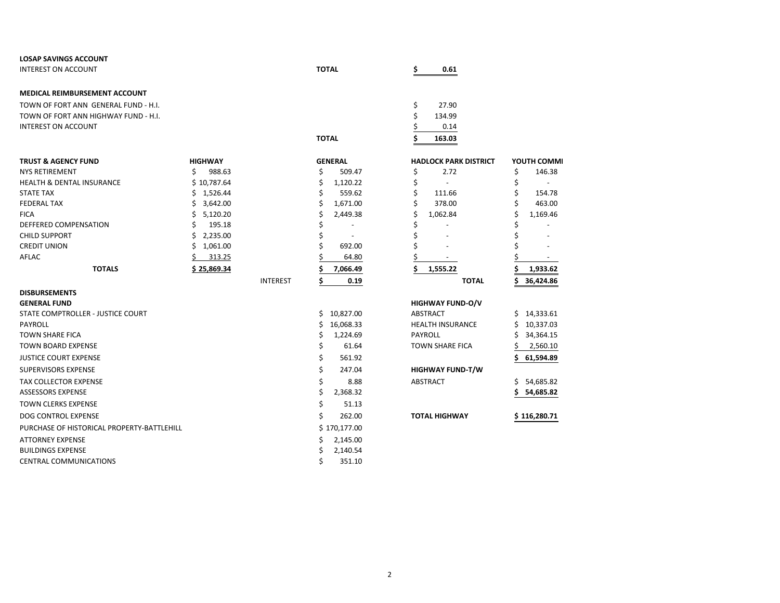| <b>LOSAP SAVINGS ACCOUNT</b>               |                |                 |              |                |    |                              |                 |
|--------------------------------------------|----------------|-----------------|--------------|----------------|----|------------------------------|-----------------|
| <b>INTEREST ON ACCOUNT</b>                 |                |                 | <b>TOTAL</b> |                |    | 0.61                         |                 |
|                                            |                |                 |              |                |    |                              |                 |
| MEDICAL REIMBURSEMENT ACCOUNT              |                |                 |              |                |    |                              |                 |
| TOWN OF FORT ANN GENERAL FUND - H.I.       |                |                 |              |                | \$ | 27.90                        |                 |
| TOWN OF FORT ANN HIGHWAY FUND - H.I.       |                |                 |              |                | \$ | 134.99                       |                 |
| <b>INTEREST ON ACCOUNT</b>                 |                |                 |              |                |    | 0.14                         |                 |
|                                            |                |                 | <b>TOTAL</b> |                | Ś  | 163.03                       |                 |
|                                            |                |                 |              |                |    |                              |                 |
| <b>TRUST &amp; AGENCY FUND</b>             | <b>HIGHWAY</b> |                 |              | <b>GENERAL</b> |    | <b>HADLOCK PARK DISTRICT</b> | YOUTH COMMI     |
| <b>NYS RETIREMENT</b>                      | Ś.<br>988.63   |                 | Ś.           | 509.47         | \$ | 2.72                         | \$<br>146.38    |
| <b>HEALTH &amp; DENTAL INSURANCE</b>       | \$10,787.64    |                 | \$           | 1,120.22       | \$ | $\overline{a}$               | \$<br>$\sim$    |
| <b>STATE TAX</b>                           | \$1,526.44     |                 | \$           | 559.62         | \$ | 111.66                       | \$<br>154.78    |
| <b>FEDERAL TAX</b>                         | 3,642.00<br>Ś. |                 | \$           | 1,671.00       | \$ | 378.00                       | \$<br>463.00    |
| <b>FICA</b>                                | Ś.<br>5,120.20 |                 | Ś            | 2,449.38       | \$ | 1,062.84                     | Ś<br>1,169.46   |
| DEFFERED COMPENSATION                      | Ś<br>195.18    |                 |              |                | \$ |                              |                 |
| <b>CHILD SUPPORT</b>                       | \$<br>2,235.00 |                 |              | $\overline{a}$ | \$ |                              |                 |
| <b>CREDIT UNION</b>                        | Ś.<br>1,061.00 |                 |              | 692.00         | Ś  |                              |                 |
| AFLAC                                      | Ś.<br>313.25   |                 |              | 64.80          |    |                              |                 |
| <b>TOTALS</b>                              | \$25,869.34    |                 |              | 7,066.49       | \$ | 1,555.22                     | 1,933.62        |
|                                            |                | <b>INTEREST</b> | \$           | 0.19           |    | <b>TOTAL</b>                 | 36,424.86<br>Ś  |
| <b>DISBURSEMENTS</b>                       |                |                 |              |                |    |                              |                 |
| <b>GENERAL FUND</b>                        |                |                 |              |                |    | <b>HIGHWAY FUND-O/V</b>      |                 |
| STATE COMPTROLLER - JUSTICE COURT          |                |                 |              | \$10,827.00    |    | <b>ABSTRACT</b>              | \$14,333.61     |
| PAYROLL                                    |                |                 | Ś.           | 16,068.33      |    | <b>HEALTH INSURANCE</b>      | Ś.<br>10,337.03 |
| <b>TOWN SHARE FICA</b>                     |                |                 | \$           | 1,224.69       |    | PAYROLL                      | Ś<br>34,364.15  |
| <b>TOWN BOARD EXPENSE</b>                  |                |                 | \$           | 61.64          |    | <b>TOWN SHARE FICA</b>       | Ś<br>2,560.10   |
| <b>JUSTICE COURT EXPENSE</b>               |                |                 | \$           | 561.92         |    |                              | \$<br>61,594.89 |
| <b>SUPERVISORS EXPENSE</b>                 |                |                 | \$           | 247.04         |    | <b>HIGHWAY FUND-T/W</b>      |                 |
| <b>TAX COLLECTOR EXPENSE</b>               |                |                 | \$           | 8.88           |    | <b>ABSTRACT</b>              | \$54,685.82     |
| <b>ASSESSORS EXPENSE</b>                   |                |                 | Ś            | 2,368.32       |    |                              | 54,685.82<br>\$ |
| <b>TOWN CLERKS EXPENSE</b>                 |                |                 | \$           | 51.13          |    |                              |                 |
| <b>DOG CONTROL EXPENSE</b>                 |                |                 | Ś            | 262.00         |    | <b>TOTAL HIGHWAY</b>         | \$116,280.71    |
| PURCHASE OF HISTORICAL PROPERTY-BATTLEHILL |                |                 |              | \$170,177.00   |    |                              |                 |
| ATTORNEY EXPENSE                           |                |                 | Ś            | 2,145.00       |    |                              |                 |
| <b>BUILDINGS EXPENSE</b>                   |                |                 |              | 2,140.54       |    |                              |                 |
|                                            |                |                 |              |                |    |                              |                 |
| <b>CENTRAL COMMUNICATIONS</b>              |                |                 | Ś            | 351.10         |    |                              |                 |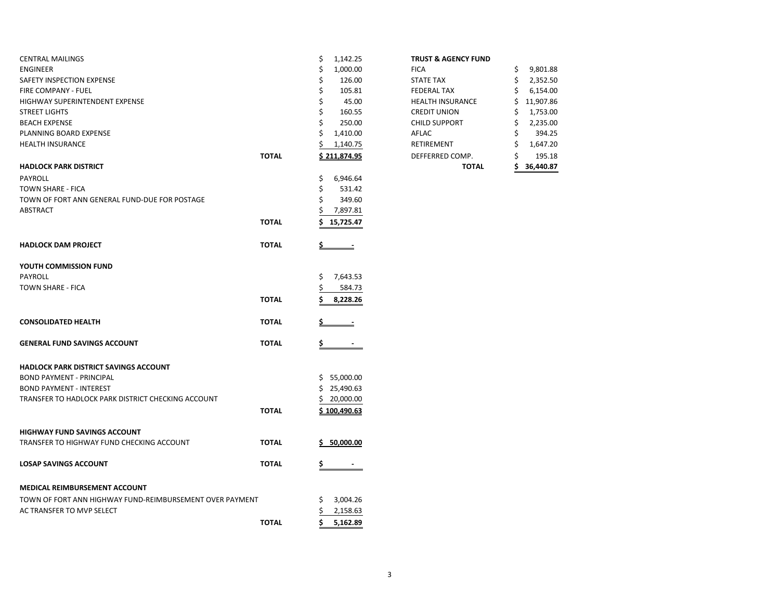|                                                          | \$<br>1,142.25  | <b>TRUST &amp; AGENCY FUND</b> |                 |
|----------------------------------------------------------|-----------------|--------------------------------|-----------------|
|                                                          | \$<br>1,000.00  | <b>FICA</b>                    | 9,801.88<br>\$  |
|                                                          | \$<br>126.00    | <b>STATE TAX</b>               | \$<br>2,352.50  |
|                                                          | \$<br>105.81    | <b>FEDERAL TAX</b>             | \$<br>6,154.00  |
|                                                          | \$<br>45.00     | <b>HEALTH INSURANCE</b>        | 11,907.86       |
|                                                          | \$<br>160.55    | <b>CREDIT UNION</b>            | 1,753.00<br>\$  |
|                                                          | Ś<br>250.00     | <b>CHILD SUPPORT</b>           | Ś<br>2,235.00   |
|                                                          | \$<br>1,410.00  | AFLAC                          | 394.25          |
|                                                          | 1,140.75        | RETIREMENT                     | \$<br>1,647.20  |
| <b>TOTAL</b>                                             | \$211,874.95    | DEFFERRED COMP.                | \$<br>195.18    |
|                                                          |                 | <b>TOTAL</b>                   | \$<br>36,440.87 |
|                                                          | \$<br>6,946.64  |                                |                 |
|                                                          | \$<br>531.42    |                                |                 |
|                                                          | 349.60          |                                |                 |
|                                                          |                 |                                |                 |
| <b>TOTAL</b>                                             | \$<br>15,725.47 |                                |                 |
|                                                          |                 |                                |                 |
| <b>TOTAL</b>                                             | $\equiv$        |                                |                 |
|                                                          |                 |                                |                 |
|                                                          | \$<br>7,643.53  |                                |                 |
|                                                          | 584.73          |                                |                 |
| <b>TOTAL</b>                                             | 8,228.26        |                                |                 |
| <b>TOTAL</b>                                             |                 |                                |                 |
|                                                          |                 |                                |                 |
| <b>TOTAL</b>                                             | \$              |                                |                 |
|                                                          |                 |                                |                 |
|                                                          | \$5,000.00      |                                |                 |
|                                                          | \$25,490.63     |                                |                 |
|                                                          | \$20,000.00     |                                |                 |
| <b>TOTAL</b>                                             | \$100,490.63    |                                |                 |
|                                                          |                 |                                |                 |
| <b>TOTAL</b>                                             | S 50,000.00     |                                |                 |
| <b>TOTAL</b>                                             | \$              |                                |                 |
|                                                          |                 |                                |                 |
| TOWN OF FORT ANN HIGHWAY FUND-REIMBURSEMENT OVER PAYMENT | 3,004.26<br>S   |                                |                 |
|                                                          | 2,158.63        |                                |                 |
| <b>TOTAL</b>                                             | \$<br>5,162.89  |                                |                 |
|                                                          |                 | 7,897.81                       |                 |

## **TRUST & AGENCY FUND**

|       |                | <b>TOTAL</b>            | ¢  | 36,440.87 |
|-------|----------------|-------------------------|----|-----------|
| ΤΟΤΑL | \$211,874.95   | DEFFERRED COMP.         | \$ | 195.18    |
|       | 1,140.75       | <b>RETIREMENT</b>       | \$ | 1,647.20  |
|       | \$<br>1,410.00 | AFLAC                   | \$ | 394.25    |
|       | \$<br>250.00   | <b>CHILD SUPPORT</b>    | \$ | 2,235.00  |
|       | \$<br>160.55   | <b>CREDIT UNION</b>     | \$ | 1,753.00  |
|       | \$<br>45.00    | <b>HEALTH INSURANCE</b> | \$ | 11,907.86 |
|       | \$<br>105.81   | <b>FEDERAL TAX</b>      | \$ | 6,154.00  |
|       | \$<br>126.00   | <b>STATE TAX</b>        | \$ | 2,352.50  |
|       | \$<br>1,000.00 | <b>FICA</b>             | \$ | 9,801.88  |